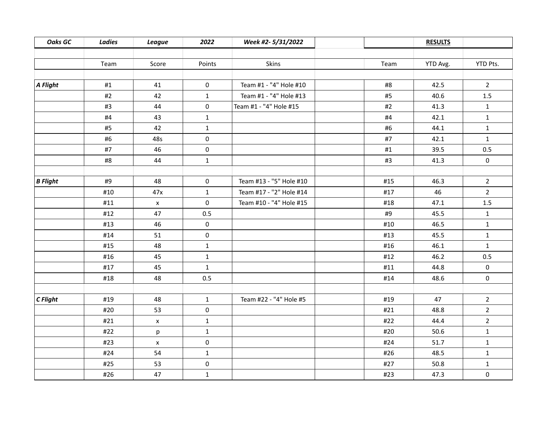| <b>Oaks GC</b>   | <b>Ladies</b> | <b>League</b>      | 2022         | Week #2-5/31/2022       |      | <b>RESULTS</b> |                |
|------------------|---------------|--------------------|--------------|-------------------------|------|----------------|----------------|
|                  |               |                    |              |                         |      |                |                |
|                  | Team          | Score              | Points       | Skins                   | Team | YTD Avg.       | YTD Pts.       |
|                  |               |                    |              |                         |      |                |                |
| $\vert$ A Flight | #1            | 41                 | $\mathbf 0$  | Team #1 - "4" Hole #10  | #8   | 42.5           | $2^{\circ}$    |
|                  | #2            | 42                 | $\mathbf{1}$ | Team #1 - "4" Hole #13  | #5   | 40.6           | $1.5\,$        |
|                  | #3            | 44                 | $\mathbf 0$  | Team #1 - "4" Hole #15  | #2   | 41.3           | $\mathbf{1}$   |
|                  | #4            | 43                 | $\mathbf{1}$ |                         | #4   | 42.1           | $\mathbf{1}$   |
|                  | #5            | 42                 | $\mathbf{1}$ |                         | #6   | 44.1           | $\mathbf{1}$   |
|                  | #6            | 48s                | $\mathbf 0$  |                         | #7   | 42.1           | $\mathbf{1}$   |
|                  | #7            | 46                 | $\mathbf 0$  |                         | #1   | 39.5           | 0.5            |
|                  | #8            | 44                 | $\mathbf{1}$ |                         | #3   | 41.3           | $\mathbf 0$    |
|                  |               |                    |              |                         |      |                |                |
| $B$ Flight       | #9            | 48                 | $\mathbf 0$  | Team #13 - "5" Hole #10 | #15  | 46.3           | $2^{\circ}$    |
|                  | #10           | 47x                | $\mathbf{1}$ | Team #17 - "2" Hole #14 | #17  | 46             | $\overline{2}$ |
|                  | #11           | $\mathsf X$        | $\mathbf 0$  | Team #10 - "4" Hole #15 | #18  | 47.1           | $1.5\,$        |
|                  | #12           | 47                 | 0.5          |                         | #9   | 45.5           | $\mathbf{1}$   |
|                  | #13           | 46                 | $\mathbf 0$  |                         | #10  | 46.5           | $\mathbf{1}$   |
|                  | #14           | 51                 | $\mathbf 0$  |                         | #13  | 45.5           | $\mathbf{1}$   |
|                  | #15           | 48                 | $\mathbf{1}$ |                         | #16  | 46.1           | $\mathbf{1}$   |
|                  | #16           | 45                 | $\mathbf{1}$ |                         | #12  | 46.2           | 0.5            |
|                  | #17           | 45                 | $\mathbf{1}$ |                         | #11  | 44.8           | 0              |
|                  | #18           | 48                 | 0.5          |                         | #14  | 48.6           | 0              |
|                  |               |                    |              |                         |      |                |                |
| $C$ Flight       | #19           | 48                 | $\mathbf{1}$ | Team #22 - "4" Hole #5  | #19  | 47             | $2^{\circ}$    |
|                  | #20           | 53                 | $\mathbf 0$  |                         | #21  | 48.8           | $\overline{2}$ |
|                  | #21           | $\pmb{\mathsf{x}}$ | $\mathbf{1}$ |                         | #22  | 44.4           | $2^{\circ}$    |
|                  | #22           | p                  | $\mathbf{1}$ |                         | #20  | 50.6           | $\mathbf{1}$   |
|                  | #23           | X                  | $\mathbf 0$  |                         | #24  | 51.7           | $\mathbf{1}$   |
|                  | #24           | 54                 | $\mathbf{1}$ |                         | #26  | 48.5           | $\mathbf{1}$   |
|                  | #25           | 53                 | $\mathbf 0$  |                         | #27  | 50.8           | $\mathbf{1}$   |
|                  | #26           | 47                 | $\mathbf{1}$ |                         | #23  | 47.3           | 0              |